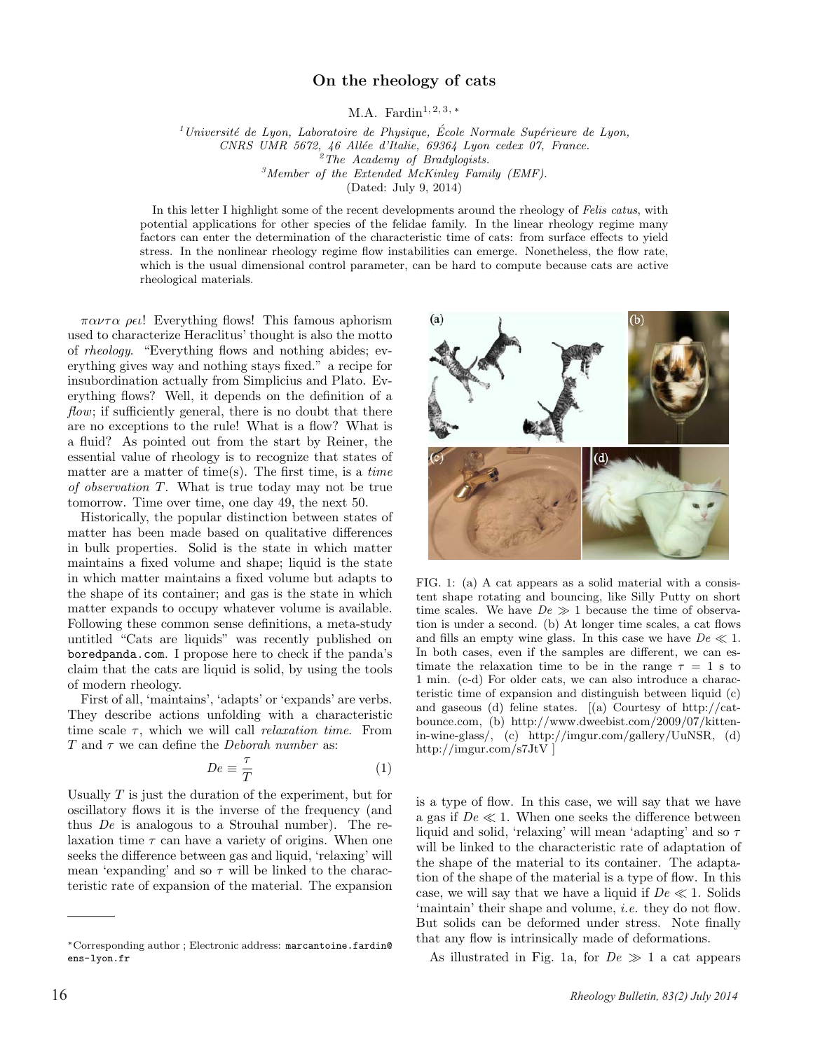## On the rheology of cats

M.A. Fardin<sup>1, 2, 3,  $*$ </sup>

 $1$ Université de Lyon, Laboratoire de Physique, École Normale Supérieure de Lyon, CNRS UMR 5672, 46 Allée d'Italie, 69364 Lyon cedex 07, France.<br><sup>2</sup>The Academy of Bradylogists.<br><sup>3</sup>Member of the Extended McKinley Family (EMF).

(Dated: July 9, 2014)

In this letter I highlight some of the recent developments around the rheology of Felis catus, with potential applications for other species of the felidae family. In the linear rheology regime many factors can enter the determination of the characteristic time of cats: from surface effects to yield stress. In the nonlinear rheology regime flow instabilities can emerge. Nonetheless, the flow rate, which is the usual dimensional control parameter, can be hard to compute because cats are active rheological materials.

 $\pi \alpha \nu \tau \alpha \rho \epsilon \iota$ ! Everything flows! This famous aphorism used to characterize Heraclitus' thought is also the motto of rheology. "Everything flows and nothing abides; everything gives way and nothing stays fixed." a recipe for insubordination actually from Simplicius and Plato. Everything flows? Well, it depends on the definition of a flow; if sufficiently general, there is no doubt that there are no exceptions to the rule! What is a flow? What is a fluid? As pointed out from the start by Reiner, the essential value of rheology is to recognize that states of matter are a matter of time(s). The first time, is a *time* of observation T. What is true today may not be true tomorrow. Time over time, one day 49, the next 50.

Historically, the popular distinction between states of matter has been made based on qualitative differences in bulk properties. Solid is the state in which matter maintains a fixed volume and shape; liquid is the state in which matter maintains a fixed volume but adapts to the shape of its container; and gas is the state in which matter expands to occupy whatever volume is available. Following these common sense definitions, a meta-study untitled "Cats are liquids" was recently published on boredpanda.com. I propose here to check if the panda's claim that the cats are liquid is solid, by using the tools of modern rheology.

First of all, 'maintains', 'adapts' or 'expands' are verbs. They describe actions unfolding with a characteristic time scale  $\tau$ , which we will call *relaxation time*. From T and  $\tau$  we can define the *Deborah number* as:

$$
De \equiv \frac{\tau}{T} \tag{1}
$$

Usually  $T$  is just the duration of the experiment, but for oscillatory flows it is the inverse of the frequency (and thus  $De$  is analogous to a Strouhal number). The relaxation time  $\tau$  can have a variety of origins. When one seeks the difference between gas and liquid, 'relaxing' will mean 'expanding' and so  $\tau$  will be linked to the characteristic rate of expansion of the material. The expansion



FIG. 1: (a) A cat appears as a solid material with a consistent shape rotating and bouncing, like Silly Putty on short time scales. We have  $De \gg 1$  because the time of observation is under a second. (b) At longer time scales, a cat flows and fills an empty wine glass. In this case we have  $De \ll 1$ . In both cases, even if the samples are different, we can estimate the relaxation time to be in the range  $\tau = 1$  s to 1 min. (c-d) For older cats, we can also introduce a characteristic time of expansion and distinguish between liquid (c) and gaseous (d) feline states. [(a) Courtesy of http://catbounce.com, (b) http://www.dweebist.com/2009/07/kittenin-wine-glass/, (c) http://imgur.com/gallery/UuNSR, (d) http://imgur.com/s7JtV ]

is a type of flow. In this case, we will say that we have a gas if  $De \ll 1$ . When one seeks the difference between liquid and solid, 'relaxing' will mean 'adapting' and so  $\tau$ will be linked to the characteristic rate of adaptation of the shape of the material to its container. The adaptation of the shape of the material is a type of flow. In this case, we will say that we have a liquid if  $De \ll 1$ . Solids 'maintain' their shape and volume, i.e. they do not flow. But solids can be deformed under stress. Note finally that any flow is intrinsically made of deformations.

As illustrated in Fig. 1a, for  $De \gg 1$  a cat appears

<sup>∗</sup>Corresponding author ; Electronic address: marcantoine.fardin@ ens-lyon.fr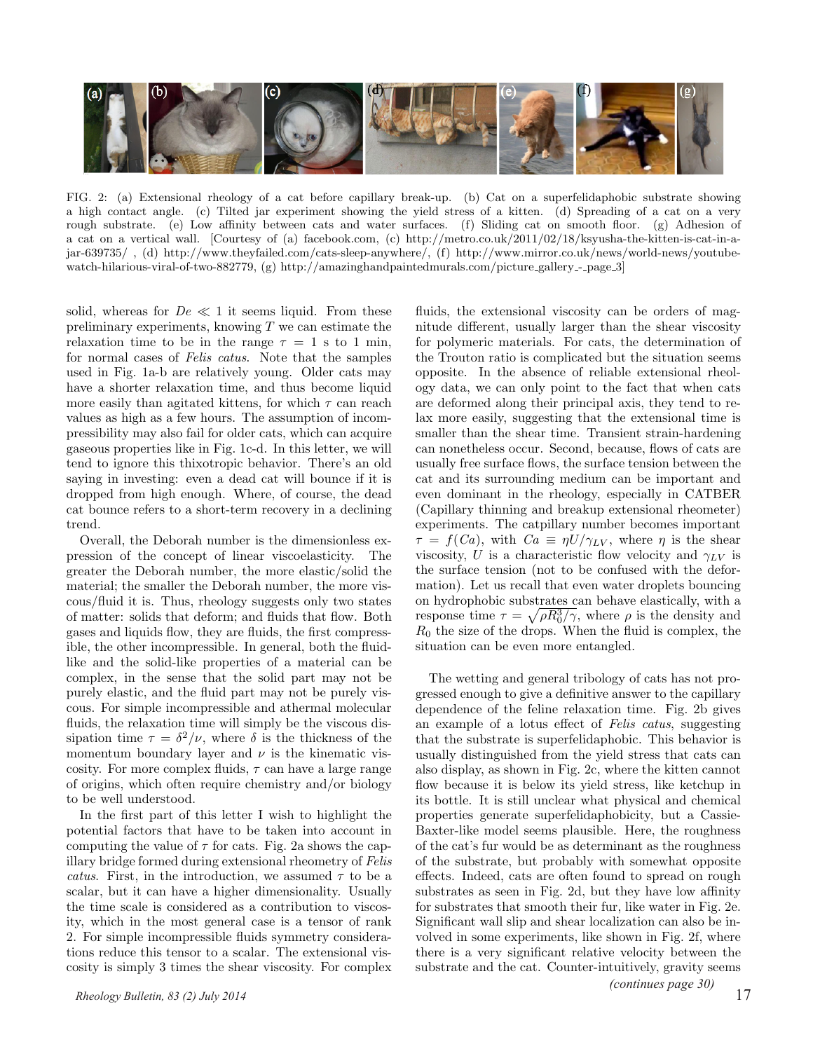

FIG. 2: (a) Extensional rheology of a cat before capillary break-up. (b) Cat on a superfelidaphobic substrate showing a high contact angle. (c) Tilted jar experiment showing the yield stress of a kitten. (d) Spreading of a cat on a very rough substrate. (e) Low affinity between cats and water surfaces. (f) Sliding cat on smooth floor. (g) Adhesion of a cat on a vertical wall. [Courtesy of (a) facebook.com, (c) http://metro.co.uk/2011/02/18/ksyusha-the-kitten-is-cat-in-ajar-639735/ , (d) http://www.theyfailed.com/cats-sleep-anywhere/, (f) http://www.mirror.co.uk/news/world-news/youtubewatch-hilarious-viral-of-two-882779, (g) http://amazinghandpaintedmurals.com/picture gallery - page 3]

solid, whereas for  $De \ll 1$  it seems liquid. From these preliminary experiments, knowing  $T$  we can estimate the relaxation time to be in the range  $\tau = 1$  s to 1 min, for normal cases of Felis catus. Note that the samples used in Fig. 1a-b are relatively young. Older cats may have a shorter relaxation time, and thus become liquid more easily than agitated kittens, for which  $\tau$  can reach values as high as a few hours. The assumption of incompressibility may also fail for older cats, which can acquire gaseous properties like in Fig. 1c-d. In this letter, we will tend to ignore this thixotropic behavior. There's an old saying in investing: even a dead cat will bounce if it is dropped from high enough. Where, of course, the dead cat bounce refers to a short-term recovery in a declining trend.

Overall, the Deborah number is the dimensionless expression of the concept of linear viscoelasticity. The greater the Deborah number, the more elastic/solid the material; the smaller the Deborah number, the more viscous/fluid it is. Thus, rheology suggests only two states of matter: solids that deform; and fluids that flow. Both gases and liquids flow, they are fluids, the first compressible, the other incompressible. In general, both the fluidlike and the solid-like properties of a material can be complex, in the sense that the solid part may not be purely elastic, and the fluid part may not be purely viscous. For simple incompressible and athermal molecular fluids, the relaxation time will simply be the viscous dissipation time  $\tau = \delta^2/\nu$ , where  $\delta$  is the thickness of the momentum boundary layer and  $\nu$  is the kinematic viscosity. For more complex fluids,  $\tau$  can have a large range of origins, which often require chemistry and/or biology to be well understood.

In the first part of this letter I wish to highlight the potential factors that have to be taken into account in computing the value of  $\tau$  for cats. Fig. 2a shows the capillary bridge formed during extensional rheometry of Felis catus. First, in the introduction, we assumed  $\tau$  to be a scalar, but it can have a higher dimensionality. Usually the time scale is considered as a contribution to viscosity, which in the most general case is a tensor of rank 2. For simple incompressible fluids symmetry considerations reduce this tensor to a scalar. The extensional viscosity is simply 3 times the shear viscosity. For complex fluids, the extensional viscosity can be orders of magnitude different, usually larger than the shear viscosity for polymeric materials. For cats, the determination of the Trouton ratio is complicated but the situation seems opposite. In the absence of reliable extensional rheology data, we can only point to the fact that when cats are deformed along their principal axis, they tend to relax more easily, suggesting that the extensional time is smaller than the shear time. Transient strain-hardening can nonetheless occur. Second, because, flows of cats are usually free surface flows, the surface tension between the cat and its surrounding medium can be important and even dominant in the rheology, especially in CATBER (Capillary thinning and breakup extensional rheometer) experiments. The catpillary number becomes important  $\tau = f(Ca)$ , with  $Ca \equiv \eta U/\gamma_{LV}$ , where  $\eta$  is the shear viscosity, U is a characteristic flow velocity and  $\gamma_{LV}$  is the surface tension (not to be confused with the deformation). Let us recall that even water droplets bouncing on hydrophobic substrates can behave elastically, with a response time  $\tau = \sqrt{\rho R_0^3/\gamma}$ , where  $\rho$  is the density and  $R_0$  the size of the drops. When the fluid is complex, the situation can be even more entangled.

The wetting and general tribology of cats has not progressed enough to give a definitive answer to the capillary dependence of the feline relaxation time. Fig. 2b gives an example of a lotus effect of Felis catus, suggesting that the substrate is superfelidaphobic. This behavior is usually distinguished from the yield stress that cats can also display, as shown in Fig. 2c, where the kitten cannot flow because it is below its yield stress, like ketchup in its bottle. It is still unclear what physical and chemical properties generate superfelidaphobicity, but a Cassie-Baxter-like model seems plausible. Here, the roughness of the cat's fur would be as determinant as the roughness of the substrate, but probably with somewhat opposite effects. Indeed, cats are often found to spread on rough substrates as seen in Fig. 2d, but they have low affinity for substrates that smooth their fur, like water in Fig. 2e. Significant wall slip and shear localization can also be involved in some experiments, like shown in Fig. 2f, where there is a very significant relative velocity between the substrate and the cat. Counter-intuitively, gravity seems